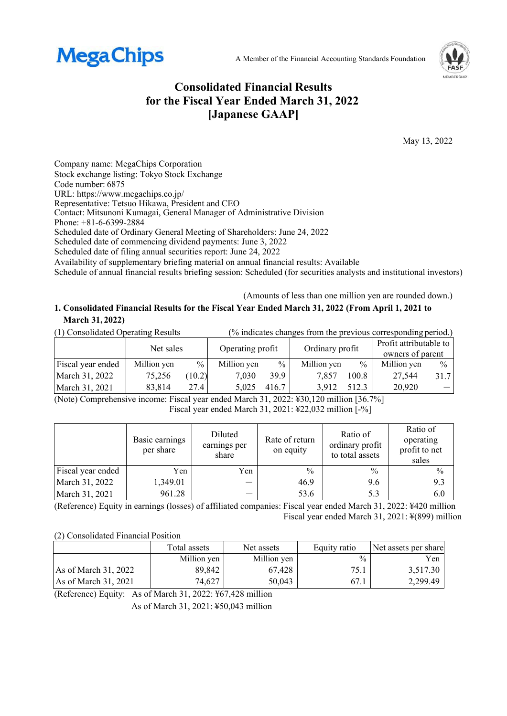



# **Consolidated Financial Results for the Fiscal Year Ended March 31, 2022 [Japanese GAAP]**

May 13, 2022

Company name: MegaChips Corporation Stock exchange listing: Tokyo Stock Exchange Code number: 6875 URL: https://www.megachips.co.jp/ Representative: Tetsuo Hikawa, President and CEO Contact: Mitsunoni Kumagai, General Manager of Administrative Division Phone: +81-6-6399-2884 Scheduled date of Ordinary General Meeting of Shareholders: June 24, 2022 Scheduled date of commencing dividend payments: June 3, 2022 Scheduled date of filing annual securities report: June 24, 2022

Availability of supplementary briefing material on annual financial results: Available

Schedule of annual financial results briefing session: Scheduled (for securities analysts and institutional investors)

(Amounts of less than one million yen are rounded down.)

## **1. Consolidated Financial Results for the Fiscal Year Ended March 31, 2022 (From April 1, 2021 to March 31, 2022)**

(1) Consolidated Operating Results (% indicates changes from the previous corresponding period.)

|                   | Net sales   |               | Operating profit |               | Ordinary profit |       | Profit attributable to<br>owners of parent |               |
|-------------------|-------------|---------------|------------------|---------------|-----------------|-------|--------------------------------------------|---------------|
| Fiscal year ended | Million yen | $\frac{0}{0}$ | Million yen      | $\frac{0}{0}$ | Million yen     | $\%$  | Million yen                                | $\frac{0}{0}$ |
| March 31, 2022    | 75,256      | (10.2)        | 7,030            | 39.9          | 7.857           | 100.8 | 27.544                                     | 31.7          |
| March 31, 2021    | 83,814      | 27.4          | 5.025            | 416.7         | 3.912           | 512.3 | 20,920                                     |               |

(Note) Comprehensive income: Fiscal year ended March 31, 2022: ¥30,120 million [36.7%] Fiscal year ended March 31, 2021: ¥22,032 million [-%]

|                   | Basic earnings<br>per share | Diluted<br>earnings per<br>share | Rate of return<br>on equity | Ratio of<br>ordinary profit<br>to total assets | Ratio of<br>operating<br>profit to net<br>sales |
|-------------------|-----------------------------|----------------------------------|-----------------------------|------------------------------------------------|-------------------------------------------------|
| Fiscal year ended | Yen                         | Yen                              | $\frac{0}{0}$               | $\frac{0}{0}$                                  | $\frac{0}{0}$                                   |
| March 31, 2022    | 1,349.01                    | -                                | 46.9                        | 9.6                                            | 9.3                                             |
| March 31, 2021    | 961.28                      |                                  | 53.6                        | 5.3                                            | 6.0                                             |

(Reference) Equity in earnings (losses) of affiliated companies: Fiscal year ended March 31, 2022: ¥420 million Fiscal year ended March 31, 2021: ¥(899) million

(2) Consolidated Financial Position

|                        | Total assets | Net assets  | Equity ratio  | Net assets per share |
|------------------------|--------------|-------------|---------------|----------------------|
|                        | Million yen  | Million yen | $\frac{0}{0}$ | Yen                  |
| As of March 31, 2022   | 89,842       | 67.428      | 75.1          | 3,517.30             |
| As of March $31, 2021$ | 74,627       | 50,043      | 67.1          | 2,299.49             |

(Reference) Equity: As of March 31, 2022: ¥67,428 million

As of March 31, 2021: ¥50,043 million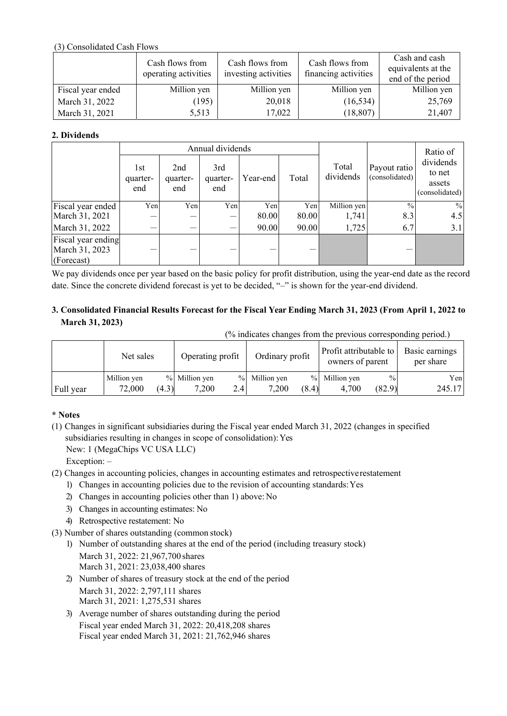### (3) Consolidated Cash Flows

|                   | Cash flows from<br>operating activities | Cash flows from<br>investing activities | Cash flows from<br>financing activities | Cash and cash<br>equivalents at the<br>end of the period |
|-------------------|-----------------------------------------|-----------------------------------------|-----------------------------------------|----------------------------------------------------------|
| Fiscal year ended | Million yen                             | Million yen                             | Million yen                             | Million yen                                              |
| March 31, 2022    | (195)                                   | 20,018                                  | (16, 534)                               | 25,769                                                   |
| March 31, 2021    | 5,513                                   | 17,022                                  | (18, 807)                               | 21,407                                                   |

### **2. Dividends**

|                                                    |                        |                        | Annual dividends       |          |       | Ratio of           |                                |                                                 |
|----------------------------------------------------|------------------------|------------------------|------------------------|----------|-------|--------------------|--------------------------------|-------------------------------------------------|
|                                                    | 1st<br>quarter-<br>end | 2nd<br>quarter-<br>end | 3rd<br>quarter-<br>end | Year-end | Total | Total<br>dividends | Payout ratio<br>(consolidated) | dividends<br>to net<br>assets<br>(consolidated) |
| Fiscal year ended                                  | Yen                    | Yen                    | Yen                    | Yen      | Yen   | Million yen        | $\frac{0}{0}$                  | $\frac{0}{0}$                                   |
| March 31, 2021                                     | –                      |                        |                        | 80.00    | 80.00 | 1,741              | 8.3                            | 4.5                                             |
| March 31, 2022                                     | –                      |                        |                        | 90.00    | 90.00 | 1,725              | 6.7                            | 3.1                                             |
| Fiscal year ending<br>March 31, 2023<br>(Forecast) |                        |                        |                        |          |       |                    |                                |                                                 |

We pay dividends once per year based on the basic policy for profit distribution, using the year-end date as the record date. Since the concrete dividend forecast is yet to be decided, "–" is shown for the year-end dividend.

### **3. Consolidated Financial Results Forecast for the Fiscal Year Ending March 31, 2023 (From April 1, 2022 to March 31, 2023)**

(% indicates changes from the previous corresponding period.)

|           | Net sales   |       | Operating profit |     | Ordinary profit |       | Profit attributable to<br>owners of parent |               | Basic earnings<br>per share |
|-----------|-------------|-------|------------------|-----|-----------------|-------|--------------------------------------------|---------------|-----------------------------|
|           | Million yen |       | % Million yen    |     | % Million yen   |       | % Million yen                              | $\frac{0}{0}$ | Yenl                        |
| Full year | 72,000      | (4.3) | 7,200            | 2.4 | 7,200           | (8.4) | 4.700                                      | (82.9)        | 245.17                      |

### **\* Notes**

(1) Changes in significant subsidiaries during the Fiscal year ended March 31, 2022 (changes in specified subsidiaries resulting in changes in scope of consolidation): Yes New: 1 (MegaChips VC USA LLC)

Exception: –

- (2) Changes in accounting policies, changes in accounting estimates and retrospective restatement
	- 1) Changes in accounting policies due to the revision of accounting standards: Yes
	- 2) Changes in accounting policies other than 1) above: No
	- 3) Changes in accounting estimates: No
	- 4) Retrospective restatement: No
- (3) Number of shares outstanding (common stock)
	- 1) Number of outstanding shares at the end of the period (including treasury stock) March 31, 2022: 21,967,700 shares March 31, 2021: 23,038,400 shares
	- 2) Number of shares of treasury stock at the end of the period March 31, 2022: 2,797,111 shares March 31, 2021: 1,275,531 shares
	- 3) Average number of shares outstanding during the period Fiscal year ended March 31, 2022: 20,418,208 shares Fiscal year ended March 31, 2021: 21,762,946 shares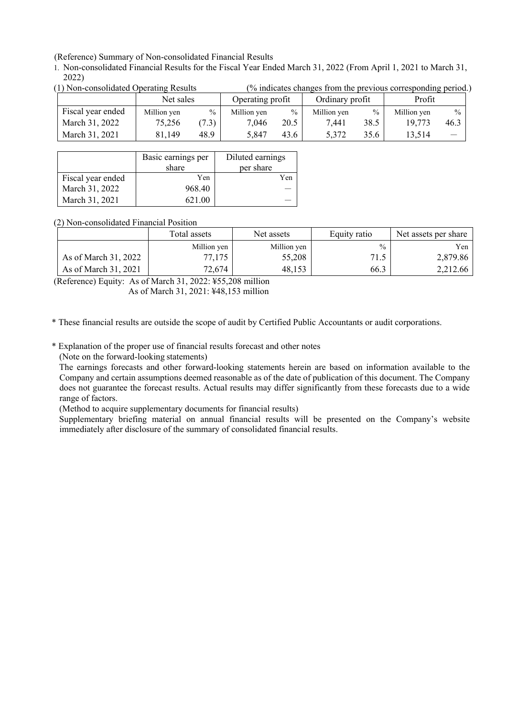(Reference) Summary of Non-consolidated Financial Results

1. Non-consolidated Financial Results for the Fiscal Year Ended March 31, 2022 (From April 1, 2021 to March 31, 2022)<br>(1) Non consolidated Operating Besults  $(0)$  indicates changes from the previous corresponding period.)

| UT I NOII-CONSONUATEU ODETATING RESUITS |                   |             |       |                  |               |                 | $\alpha$ muicates changes from the previous corresponding period. |             |                          |
|-----------------------------------------|-------------------|-------------|-------|------------------|---------------|-----------------|-------------------------------------------------------------------|-------------|--------------------------|
|                                         |                   | Net sales   |       | Operating profit |               | Ordinary profit |                                                                   | Profit      |                          |
|                                         | Fiscal year ended | Million yen | $\%$  | Million yen      | $\frac{0}{0}$ | Million yen     | $\%$                                                              | Million yen | $\frac{0}{0}$            |
|                                         | March 31, 2022    | 75,256      | (7.3) | 7.046            | 20.5          | 7.441           | 38.5                                                              | 19.773      | 46.3                     |
|                                         | March 31, 2021    | 81,149      | 48.9  | 5.847            | 43.6          | 5.372           | 35.6                                                              | 13.514      | $\overline{\phantom{0}}$ |

|                   | Basic earnings per<br>share | Diluted earnings<br>per share |
|-------------------|-----------------------------|-------------------------------|
| Fiscal year ended | Yen                         | Yen                           |
| March 31, 2022    | 968.40                      |                               |
| March 31, 2021    | 621.00                      |                               |

(2) Non-consolidated Financial Position

|                      | Total assets | Net assets  | Equity ratio  | Net assets per share |
|----------------------|--------------|-------------|---------------|----------------------|
|                      | Million yen  | Million yen | $\frac{0}{0}$ | Yen                  |
| As of March 31, 2022 | 77.175       | 55,208      | 71.5          | 2,879.86             |
| As of March 31, 2021 | 72.674       | 48.153      | 66.3          | 2,212.66             |

(Reference) Equity: As of March 31, 2022: ¥55,208 million As of March 31, 2021: ¥48,153 million

\* These financial results are outside the scope of audit by Certified Public Accountants or audit corporations.

\* Explanation of the proper use of financial results forecast and other notes

(Note on the forward-looking statements)

The earnings forecasts and other forward-looking statements herein are based on information available to the Company and certain assumptions deemed reasonable as of the date of publication of this document. The Company does not guarantee the forecast results. Actual results may differ significantly from these forecasts due to a wide range of factors.

(Method to acquire supplementary documents for financial results)

Supplementary briefing material on annual financial results will be presented on the Company's website immediately after disclosure of the summary of consolidated financial results.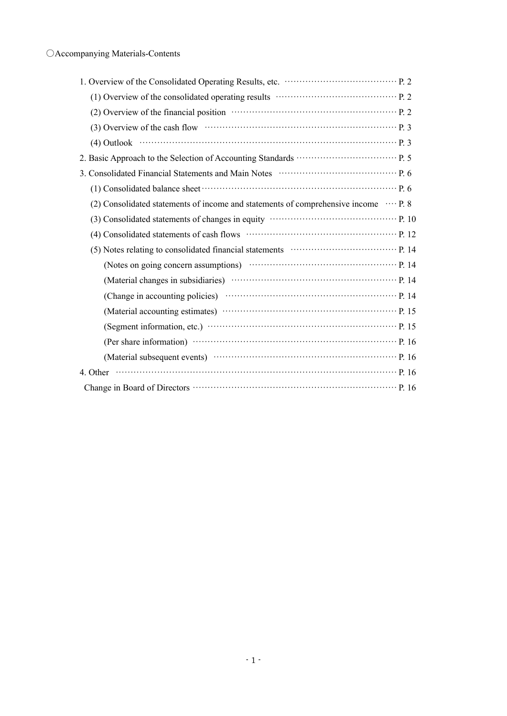| (1) Overview of the consolidated operating results …………………………………… P. 2                     |
|--------------------------------------------------------------------------------------------|
| (2) Overview of the financial position material contracts and position p. 2                |
|                                                                                            |
|                                                                                            |
|                                                                                            |
|                                                                                            |
|                                                                                            |
| (2) Consolidated statements of income and statements of comprehensive income $\cdots$ P. 8 |
|                                                                                            |
|                                                                                            |
|                                                                                            |
|                                                                                            |
|                                                                                            |
|                                                                                            |
|                                                                                            |
|                                                                                            |
|                                                                                            |
| (Material subsequent events) ………………………………………………… P. 16                                     |
| 4. Other $\cdots$ P. 16                                                                    |
|                                                                                            |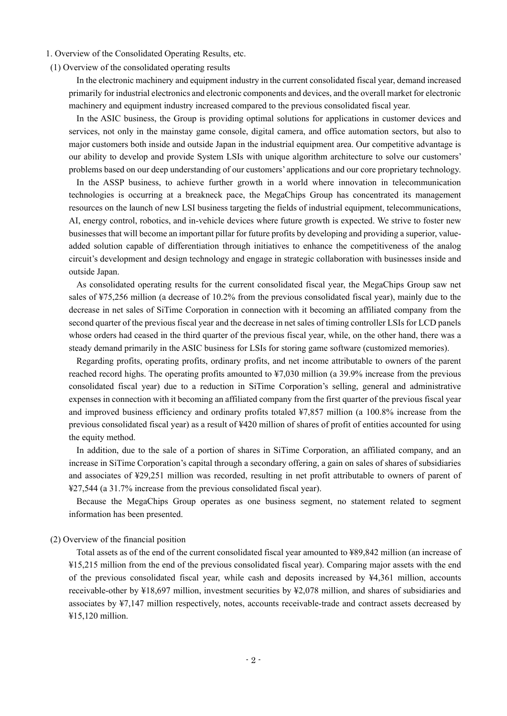1. Overview of the Consolidated Operating Results, etc.

(1) Overview of the consolidated operating results

In the electronic machinery and equipment industry in the current consolidated fiscal year, demand increased primarily for industrial electronics and electronic components and devices, and the overall market for electronic machinery and equipment industry increased compared to the previous consolidated fiscal year.

In the ASIC business, the Group is providing optimal solutions for applications in customer devices and services, not only in the mainstay game console, digital camera, and office automation sectors, but also to major customers both inside and outside Japan in the industrial equipment area. Our competitive advantage is our ability to develop and provide System LSIs with unique algorithm architecture to solve our customers' problems based on our deep understanding of our customers' applications and our core proprietary technology.

In the ASSP business, to achieve further growth in a world where innovation in telecommunication technologies is occurring at a breakneck pace, the MegaChips Group has concentrated its management resources on the launch of new LSI business targeting the fields of industrial equipment, telecommunications, AI, energy control, robotics, and in-vehicle devices where future growth is expected. We strive to foster new businesses that will become an important pillar for future profits by developing and providing a superior, valueadded solution capable of differentiation through initiatives to enhance the competitiveness of the analog circuit's development and design technology and engage in strategic collaboration with businesses inside and outside Japan.

As consolidated operating results for the current consolidated fiscal year, the MegaChips Group saw net sales of ¥75,256 million (a decrease of 10.2% from the previous consolidated fiscal year), mainly due to the decrease in net sales of SiTime Corporation in connection with it becoming an affiliated company from the second quarter of the previous fiscal year and the decrease in net sales of timing controller LSIs for LCD panels whose orders had ceased in the third quarter of the previous fiscal year, while, on the other hand, there was a steady demand primarily in the ASIC business for LSIs for storing game software (customized memories).

Regarding profits, operating profits, ordinary profits, and net income attributable to owners of the parent reached record highs. The operating profits amounted to ¥7,030 million (a 39.9% increase from the previous consolidated fiscal year) due to a reduction in SiTime Corporation's selling, general and administrative expenses in connection with it becoming an affiliated company from the first quarter of the previous fiscal year and improved business efficiency and ordinary profits totaled ¥7,857 million (a 100.8% increase from the previous consolidated fiscal year) as a result of ¥420 million of shares of profit of entities accounted for using the equity method.

In addition, due to the sale of a portion of shares in SiTime Corporation, an affiliated company, and an increase in SiTime Corporation's capital through a secondary offering, a gain on sales of shares of subsidiaries and associates of ¥29,251 million was recorded, resulting in net profit attributable to owners of parent of ¥27,544 (a 31.7% increase from the previous consolidated fiscal year).

Because the MegaChips Group operates as one business segment, no statement related to segment information has been presented.

### (2) Overview of the financial position

Total assets as of the end of the current consolidated fiscal year amounted to ¥89,842 million (an increase of ¥15,215 million from the end of the previous consolidated fiscal year). Comparing major assets with the end of the previous consolidated fiscal year, while cash and deposits increased by ¥4,361 million, accounts receivable-other by ¥18,697 million, investment securities by ¥2,078 million, and shares of subsidiaries and associates by ¥7,147 million respectively, notes, accounts receivable-trade and contract assets decreased by ¥15,120 million.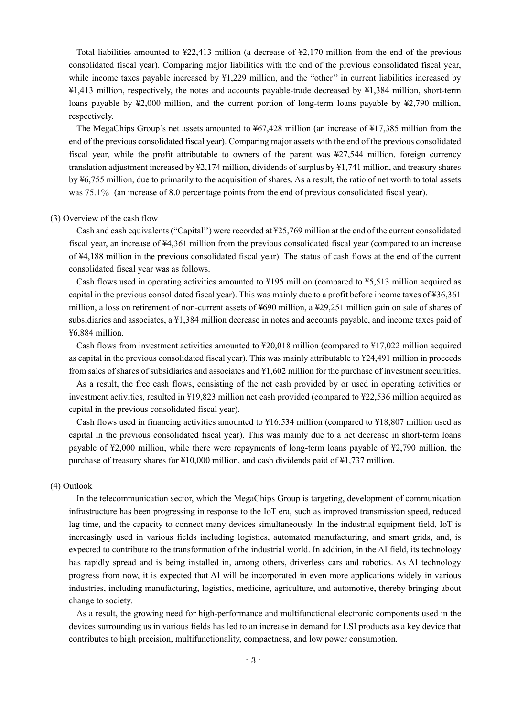Total liabilities amounted to ¥22,413 million (a decrease of ¥2,170 million from the end of the previous consolidated fiscal year). Comparing major liabilities with the end of the previous consolidated fiscal year, while income taxes payable increased by  $\frac{1}{229}$  million, and the "other" in current liabilities increased by ¥1,413 million, respectively, the notes and accounts payable-trade decreased by ¥1,384 million, short-term loans payable by ¥2,000 million, and the current portion of long-term loans payable by ¥2,790 million, respectively.

The MegaChips Group's net assets amounted to ¥67,428 million (an increase of ¥17,385 million from the end of the previous consolidated fiscal year). Comparing major assets with the end of the previous consolidated fiscal year, while the profit attributable to owners of the parent was ¥27,544 million, foreign currency translation adjustment increased by ¥2,174 million, dividends of surplus by ¥1,741 million, and treasury shares by ¥6,755 million, due to primarily to the acquisition of shares. As a result, the ratio of net worth to total assets was 75.1% (an increase of 8.0 percentage points from the end of previous consolidated fiscal year).

#### (3) Overview of the cash flow

Cash and cash equivalents ("Capital'') were recorded at ¥25,769 million at the end of the current consolidated fiscal year, an increase of ¥4,361 million from the previous consolidated fiscal year (compared to an increase of ¥4,188 million in the previous consolidated fiscal year). The status of cash flows at the end of the current consolidated fiscal year was as follows.

Cash flows used in operating activities amounted to ¥195 million (compared to ¥5,513 million acquired as capital in the previous consolidated fiscal year). This was mainly due to a profit before income taxes of ¥36,361 million, a loss on retirement of non-current assets of ¥690 million, a ¥29,251 million gain on sale of shares of subsidiaries and associates, a ¥1,384 million decrease in notes and accounts payable, and income taxes paid of ¥6,884 million.

Cash flows from investment activities amounted to ¥20,018 million (compared to ¥17,022 million acquired as capital in the previous consolidated fiscal year). This was mainly attributable to ¥24,491 million in proceeds from sales of shares of subsidiaries and associates and ¥1,602 million for the purchase of investment securities.

As a result, the free cash flows, consisting of the net cash provided by or used in operating activities or investment activities, resulted in ¥19,823 million net cash provided (compared to ¥22,536 million acquired as capital in the previous consolidated fiscal year).

Cash flows used in financing activities amounted to ¥16,534 million (compared to ¥18,807 million used as capital in the previous consolidated fiscal year). This was mainly due to a net decrease in short-term loans payable of ¥2,000 million, while there were repayments of long-term loans payable of ¥2,790 million, the purchase of treasury shares for ¥10,000 million, and cash dividends paid of ¥1,737 million.

#### (4) Outlook

In the telecommunication sector, which the MegaChips Group is targeting, development of communication infrastructure has been progressing in response to the IoT era, such as improved transmission speed, reduced lag time, and the capacity to connect many devices simultaneously. In the industrial equipment field, IoT is increasingly used in various fields including logistics, automated manufacturing, and smart grids, and, is expected to contribute to the transformation of the industrial world. In addition, in the AI field, its technology has rapidly spread and is being installed in, among others, driverless cars and robotics. As AI technology progress from now, it is expected that AI will be incorporated in even more applications widely in various industries, including manufacturing, logistics, medicine, agriculture, and automotive, thereby bringing about change to society.

As a result, the growing need for high-performance and multifunctional electronic components used in the devices surrounding us in various fields has led to an increase in demand for LSI products as a key device that contributes to high precision, multifunctionality, compactness, and low power consumption.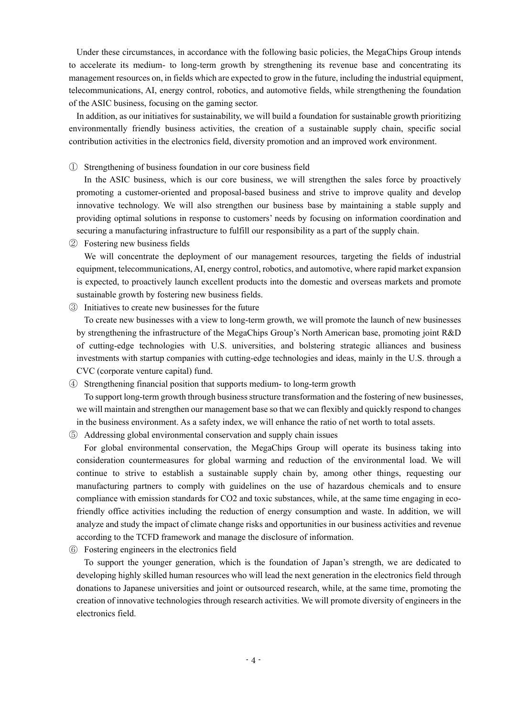Under these circumstances, in accordance with the following basic policies, the MegaChips Group intends to accelerate its medium- to long-term growth by strengthening its revenue base and concentrating its management resources on, in fields which are expected to grow in the future, including the industrial equipment, telecommunications, AI, energy control, robotics, and automotive fields, while strengthening the foundation of the ASIC business, focusing on the gaming sector.

In addition, as our initiatives for sustainability, we will build a foundation for sustainable growth prioritizing environmentally friendly business activities, the creation of a sustainable supply chain, specific social contribution activities in the electronics field, diversity promotion and an improved work environment.

① Strengthening of business foundation in our core business field

In the ASIC business, which is our core business, we will strengthen the sales force by proactively promoting a customer-oriented and proposal-based business and strive to improve quality and develop innovative technology. We will also strengthen our business base by maintaining a stable supply and providing optimal solutions in response to customers' needs by focusing on information coordination and securing a manufacturing infrastructure to fulfill our responsibility as a part of the supply chain.

② Fostering new business fields

We will concentrate the deployment of our management resources, targeting the fields of industrial equipment, telecommunications, AI, energy control, robotics, and automotive, where rapid market expansion is expected, to proactively launch excellent products into the domestic and overseas markets and promote sustainable growth by fostering new business fields.

③ Initiatives to create new businesses for the future

To create new businesses with a view to long-term growth, we will promote the launch of new businesses by strengthening the infrastructure of the MegaChips Group's North American base, promoting joint R&D of cutting-edge technologies with U.S. universities, and bolstering strategic alliances and business investments with startup companies with cutting-edge technologies and ideas, mainly in the U.S. through a CVC (corporate venture capital) fund.

④ Strengthening financial position that supports medium- to long-term growth

To support long-term growth through business structure transformation and the fostering of new businesses, we will maintain and strengthen our management base so that we can flexibly and quickly respond to changes in the business environment. As a safety index, we will enhance the ratio of net worth to total assets.

⑤ Addressing global environmental conservation and supply chain issues

For global environmental conservation, the MegaChips Group will operate its business taking into consideration countermeasures for global warming and reduction of the environmental load. We will continue to strive to establish a sustainable supply chain by, among other things, requesting our manufacturing partners to comply with guidelines on the use of hazardous chemicals and to ensure compliance with emission standards for CO2 and toxic substances, while, at the same time engaging in ecofriendly office activities including the reduction of energy consumption and waste. In addition, we will analyze and study the impact of climate change risks and opportunities in our business activities and revenue according to the TCFD framework and manage the disclosure of information.

⑥ Fostering engineers in the electronics field

To support the younger generation, which is the foundation of Japan's strength, we are dedicated to developing highly skilled human resources who will lead the next generation in the electronics field through donations to Japanese universities and joint or outsourced research, while, at the same time, promoting the creation of innovative technologies through research activities. We will promote diversity of engineers in the electronics field.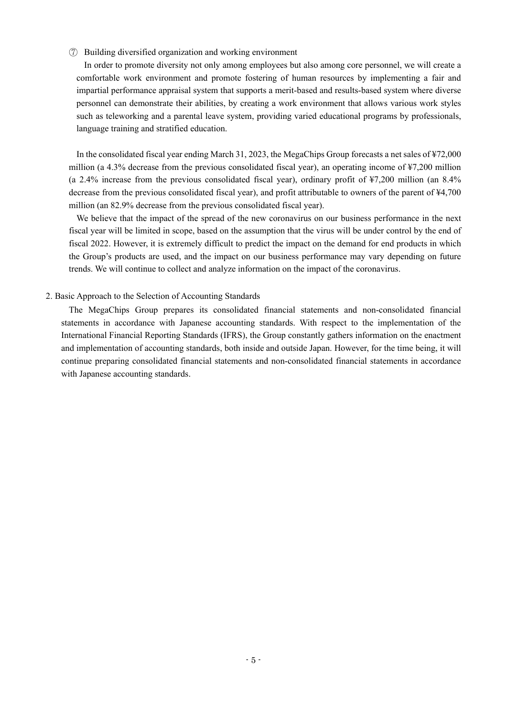### ⑦ Building diversified organization and working environment

In order to promote diversity not only among employees but also among core personnel, we will create a comfortable work environment and promote fostering of human resources by implementing a fair and impartial performance appraisal system that supports a merit-based and results-based system where diverse personnel can demonstrate their abilities, by creating a work environment that allows various work styles such as teleworking and a parental leave system, providing varied educational programs by professionals, language training and stratified education.

In the consolidated fiscal year ending March 31, 2023, the MegaChips Group forecasts a net sales of ¥72,000 million (a 4.3% decrease from the previous consolidated fiscal year), an operating income of ¥7,200 million (a 2.4% increase from the previous consolidated fiscal year), ordinary profit of ¥7,200 million (an 8.4% decrease from the previous consolidated fiscal year), and profit attributable to owners of the parent of ¥4,700 million (an 82.9% decrease from the previous consolidated fiscal year).

We believe that the impact of the spread of the new coronavirus on our business performance in the next fiscal year will be limited in scope, based on the assumption that the virus will be under control by the end of fiscal 2022. However, it is extremely difficult to predict the impact on the demand for end products in which the Group's products are used, and the impact on our business performance may vary depending on future trends. We will continue to collect and analyze information on the impact of the coronavirus.

### 2. Basic Approach to the Selection of Accounting Standards

The MegaChips Group prepares its consolidated financial statements and non-consolidated financial statements in accordance with Japanese accounting standards. With respect to the implementation of the International Financial Reporting Standards (IFRS), the Group constantly gathers information on the enactment and implementation of accounting standards, both inside and outside Japan. However, for the time being, it will continue preparing consolidated financial statements and non-consolidated financial statements in accordance with Japanese accounting standards.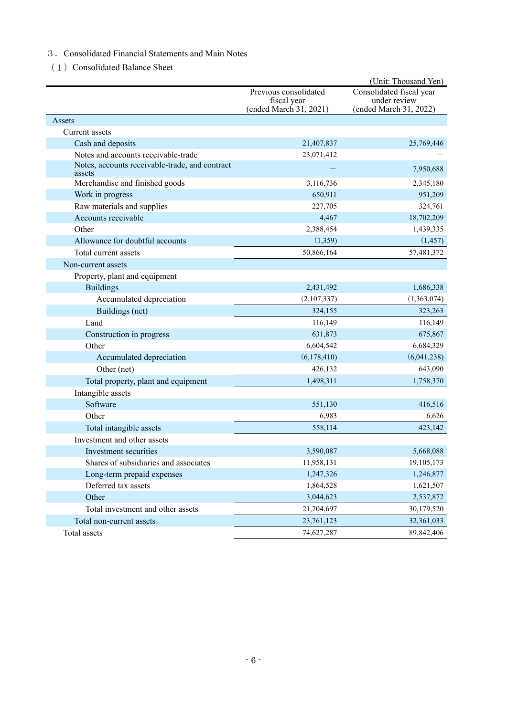### 3.Consolidated Financial Statements and Main Notes

(1) Consolidated Balance Sheet

|                                                          |                                      | (Unit: Thousand Yen)                     |
|----------------------------------------------------------|--------------------------------------|------------------------------------------|
|                                                          | Previous consolidated<br>fiscal year | Consolidated fiscal year<br>under review |
|                                                          | (ended March 31, 2021)               | (ended March 31, 2022)                   |
| Assets                                                   |                                      |                                          |
| Current assets                                           |                                      |                                          |
| Cash and deposits                                        | 21,407,837                           | 25,769,446                               |
| Notes and accounts receivable-trade                      | 23,071,412                           |                                          |
| Notes, accounts receivable-trade, and contract<br>assets |                                      | 7,950,688                                |
| Merchandise and finished goods                           | 3,116,736                            | 2,345,180                                |
| Work in progress                                         | 650,911                              | 951,209                                  |
| Raw materials and supplies                               | 227,705                              | 324,761                                  |
| Accounts receivable                                      | 4,467                                | 18,702,209                               |
| Other                                                    | 2,388,454                            | 1,439,335                                |
| Allowance for doubtful accounts                          | (1,359)                              | (1, 457)                                 |
| Total current assets                                     | 50,866,164                           | 57,481,372                               |
| Non-current assets                                       |                                      |                                          |
| Property, plant and equipment                            |                                      |                                          |
| <b>Buildings</b>                                         | 2,431,492                            | 1,686,338                                |
| Accumulated depreciation                                 | (2,107,337)                          | (1,363,074)                              |
| Buildings (net)                                          | 324,155                              | 323,263                                  |
| Land                                                     | 116,149                              | 116,149                                  |
| Construction in progress                                 | 631,873                              | 675,867                                  |
| Other                                                    | 6,604,542                            | 6,684,329                                |
| Accumulated depreciation                                 | (6,178,410)                          | (6,041,238)                              |
| Other (net)                                              | 426,132                              | 643,090                                  |
| Total property, plant and equipment                      | 1,498,311                            | 1,758,370                                |
| Intangible assets                                        |                                      |                                          |
| Software                                                 | 551,130                              | 416,516                                  |
| Other                                                    | 6,983                                | 6,626                                    |
| Total intangible assets                                  | 558,114                              | 423,142                                  |
| Investment and other assets                              |                                      |                                          |
| Investment securities                                    | 3,590,087                            | 5,668,088                                |
| Shares of subsidiaries and associates                    | 11,958,131                           | 19,105,173                               |
| Long-term prepaid expenses                               | 1,247,326                            | 1,246,877                                |
| Deferred tax assets                                      | 1,864,528                            | 1,621,507                                |
| Other                                                    | 3,044,623                            | 2,537,872                                |
| Total investment and other assets                        | 21,704,697                           | 30,179,520                               |
| Total non-current assets                                 | 23,761,123                           | 32,361,033                               |
| Total assets                                             | 74,627,287                           | 89, 842, 406                             |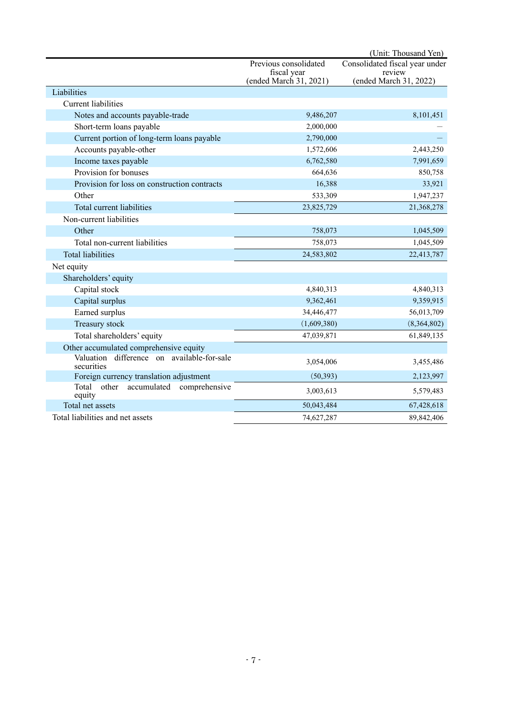|                                                          |                                       | (Unit: Thousand Yen)             |
|----------------------------------------------------------|---------------------------------------|----------------------------------|
|                                                          | Previous consolidated                 | Consolidated fiscal year under   |
|                                                          | fiscal year<br>(ended March 31, 2021) | review<br>(ended March 31, 2022) |
| Liabilities                                              |                                       |                                  |
| <b>Current liabilities</b>                               |                                       |                                  |
| Notes and accounts payable-trade                         | 9,486,207                             | 8,101,451                        |
| Short-term loans payable                                 | 2,000,000                             |                                  |
| Current portion of long-term loans payable               | 2,790,000                             |                                  |
| Accounts payable-other                                   | 1,572,606                             | 2,443,250                        |
| Income taxes payable                                     | 6,762,580                             | 7,991,659                        |
| Provision for bonuses                                    | 664,636                               | 850,758                          |
| Provision for loss on construction contracts             | 16,388                                | 33,921                           |
| Other                                                    | 533,309                               | 1,947,237                        |
| Total current liabilities                                | 23,825,729                            | 21,368,278                       |
| Non-current liabilities                                  |                                       |                                  |
| Other                                                    | 758,073                               | 1,045,509                        |
| Total non-current liabilities                            | 758,073                               | 1,045,509                        |
| <b>Total liabilities</b>                                 | 24,583,802                            | 22,413,787                       |
| Net equity                                               |                                       |                                  |
| Shareholders' equity                                     |                                       |                                  |
| Capital stock                                            | 4,840,313                             | 4,840,313                        |
| Capital surplus                                          | 9,362,461                             | 9,359,915                        |
| Earned surplus                                           | 34,446,477                            | 56,013,709                       |
| Treasury stock                                           | (1,609,380)                           | (8,364,802)                      |
| Total shareholders' equity                               | 47,039,871                            | 61,849,135                       |
| Other accumulated comprehensive equity                   |                                       |                                  |
| Valuation difference on available-for-sale<br>securities | 3,054,006                             | 3,455,486                        |
| Foreign currency translation adjustment                  | (50, 393)                             | 2,123,997                        |
| Total<br>other<br>accumulated comprehensive<br>equity    | 3,003,613                             | 5,579,483                        |
| Total net assets                                         | 50,043,484                            | 67,428,618                       |
| Total liabilities and net assets                         | 74,627,287                            | 89,842,406                       |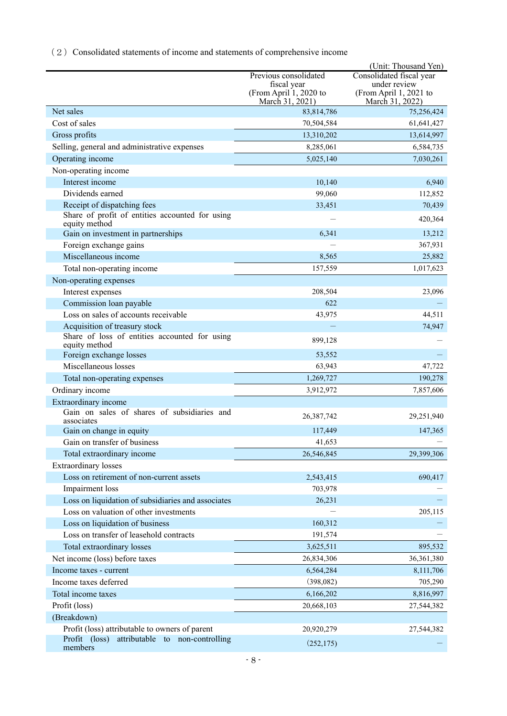(2) Consolidated statements of income and statements of comprehensive income

|                                                                  |                                                          | (Unit: Thousand Yen)                                      |
|------------------------------------------------------------------|----------------------------------------------------------|-----------------------------------------------------------|
|                                                                  | Previous consolidated                                    | Consolidated fiscal year                                  |
|                                                                  | fiscal year<br>(From April 1, 2020 to<br>March 31, 2021) | under review<br>(From April 1, 2021 to<br>March 31, 2022) |
| Net sales                                                        | 83,814,786                                               | 75,256,424                                                |
| Cost of sales                                                    | 70,504,584                                               | 61,641,427                                                |
| Gross profits                                                    | 13,310,202                                               | 13,614,997                                                |
| Selling, general and administrative expenses                     | 8,285,061                                                | 6,584,735                                                 |
| Operating income                                                 | 5,025,140                                                | 7,030,261                                                 |
| Non-operating income                                             |                                                          |                                                           |
| Interest income                                                  | 10,140                                                   | 6,940                                                     |
| Dividends earned                                                 | 99,060                                                   | 112,852                                                   |
| Receipt of dispatching fees                                      | 33,451                                                   | 70,439                                                    |
| Share of profit of entities accounted for using<br>equity method |                                                          | 420,364                                                   |
| Gain on investment in partnerships                               | 6,341                                                    | 13,212                                                    |
| Foreign exchange gains                                           |                                                          | 367,931                                                   |
| Miscellaneous income                                             | 8,565                                                    | 25,882                                                    |
| Total non-operating income                                       | 157,559                                                  | 1,017,623                                                 |
| Non-operating expenses                                           |                                                          |                                                           |
| Interest expenses                                                | 208,504                                                  | 23,096                                                    |
| Commission loan payable                                          | 622                                                      |                                                           |
| Loss on sales of accounts receivable                             | 43,975                                                   | 44,511                                                    |
| Acquisition of treasury stock                                    |                                                          | 74,947                                                    |
| Share of loss of entities accounted for using<br>equity method   | 899,128                                                  |                                                           |
| Foreign exchange losses                                          | 53,552                                                   |                                                           |
| Miscellaneous losses                                             | 63,943                                                   | 47,722                                                    |
| Total non-operating expenses                                     | 1,269,727                                                | 190,278                                                   |
| Ordinary income                                                  | 3,912,972                                                | 7,857,606                                                 |
| Extraordinary income                                             |                                                          |                                                           |
| Gain on sales of shares of subsidiaries and<br>associates        | 26,387,742                                               | 29,251,940                                                |
| Gain on change in equity                                         | 117,449                                                  | 147,365                                                   |
| Gain on transfer of business                                     | 41,653                                                   |                                                           |
| Total extraordinary income                                       | 26,546,845                                               | 29,399,306                                                |
| <b>Extraordinary</b> losses                                      |                                                          |                                                           |
| Loss on retirement of non-current assets                         | 2,543,415                                                | 690,417                                                   |
| Impairment loss                                                  | 703,978                                                  |                                                           |
| Loss on liquidation of subsidiaries and associates               | 26,231                                                   |                                                           |
| Loss on valuation of other investments                           |                                                          | 205,115                                                   |
| Loss on liquidation of business                                  | 160,312                                                  |                                                           |
| Loss on transfer of leasehold contracts                          | 191,574                                                  |                                                           |
| Total extraordinary losses                                       | 3,625,511                                                | 895,532                                                   |
| Net income (loss) before taxes                                   | 26,834,306                                               | 36,361,380                                                |
| Income taxes - current                                           | 6,564,284                                                | 8,111,706                                                 |
| Income taxes deferred                                            | (398,082)                                                | 705,290                                                   |
| Total income taxes                                               | 6,166,202                                                | 8,816,997                                                 |
| Profit (loss)                                                    | 20,668,103                                               | 27,544,382                                                |
| (Breakdown)                                                      |                                                          |                                                           |
| Profit (loss) attributable to owners of parent                   | 20,920,279                                               | 27,544,382                                                |
| Profit (loss)<br>attributable to non-controlling<br>members      | (252, 175)                                               |                                                           |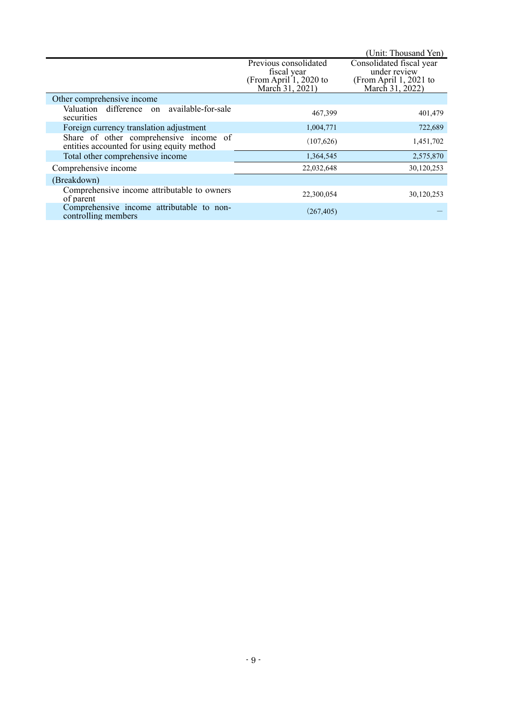|                                                                                      |                                                                                   | (Unit: Thousand Yen)                                                                  |
|--------------------------------------------------------------------------------------|-----------------------------------------------------------------------------------|---------------------------------------------------------------------------------------|
|                                                                                      | Previous consolidated<br>fiscal year<br>(From April 1, 2020 to<br>March 31, 2021) | Consolidated fiscal year<br>under review<br>(From April 1, 2021 to<br>March 31, 2022) |
| Other comprehensive income                                                           |                                                                                   |                                                                                       |
| Valuation difference on available-for-sale<br>securities                             | 467,399                                                                           | 401,479                                                                               |
| Foreign currency translation adjustment                                              | 1,004,771                                                                         | 722,689                                                                               |
| Share of other comprehensive income of<br>entities accounted for using equity method | (107,626)                                                                         | 1,451,702                                                                             |
| Total other comprehensive income                                                     | 1,364,545                                                                         | 2,575,870                                                                             |
| Comprehensive income                                                                 | 22,032,648                                                                        | 30,120,253                                                                            |
| (Breakdown)                                                                          |                                                                                   |                                                                                       |
| Comprehensive income attributable to owners<br>of parent                             | 22,300,054                                                                        | 30,120,253                                                                            |
| Comprehensive income attributable to non-<br>controlling members                     | (267, 405)                                                                        |                                                                                       |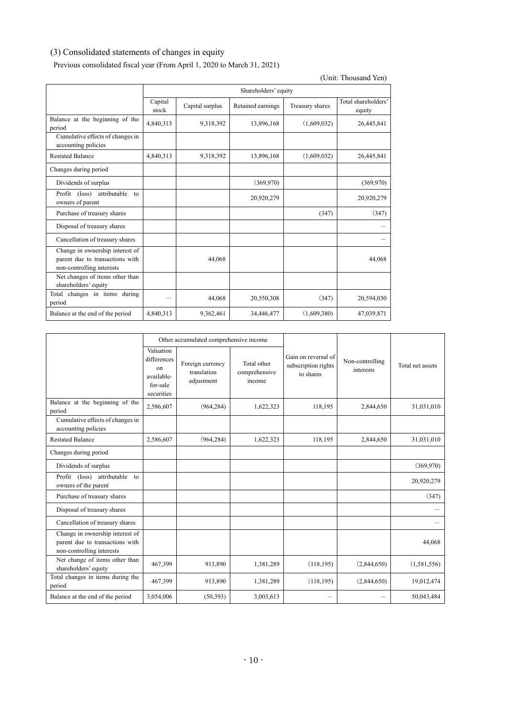## (3) Consolidated statements of changes in equity

Previous consolidated fiscal year (From April 1, 2020 to March 31, 2021)

|                                                                                                 |                  |                      |                   |                 | (Unit: Thousand Yen)          |  |
|-------------------------------------------------------------------------------------------------|------------------|----------------------|-------------------|-----------------|-------------------------------|--|
|                                                                                                 |                  | Shareholders' equity |                   |                 |                               |  |
|                                                                                                 | Capital<br>stock | Capital surplus      | Retained earnings | Treasury shares | Total shareholders'<br>equity |  |
| Balance at the beginning of the<br>period                                                       | 4,840,313        | 9,318,392            | 13,896,168        | (1,609,032)     | 26,445,841                    |  |
| Cumulative effects of changes in<br>accounting policies                                         |                  |                      |                   |                 |                               |  |
| <b>Restated Balance</b>                                                                         | 4,840,313        | 9,318,392            | 13,896,168        | (1,609,032)     | 26,445,841                    |  |
| Changes during period                                                                           |                  |                      |                   |                 |                               |  |
| Dividends of surplus                                                                            |                  |                      | (369,970)         |                 | (369,970)                     |  |
| Profit (loss) attributable<br>to<br>owners of parent                                            |                  |                      | 20,920,279        |                 | 20,920,279                    |  |
| Purchase of treasury shares                                                                     |                  |                      |                   | (347)           | (347)                         |  |
| Disposal of treasury shares                                                                     |                  |                      |                   |                 |                               |  |
| Cancellation of treasury shares                                                                 |                  |                      |                   |                 |                               |  |
| Change in ownership interest of<br>parent due to transactions with<br>non-controlling interests |                  | 44,068               |                   |                 | 44,068                        |  |
| Net changes of items other than<br>shareholders' equity                                         |                  |                      |                   |                 |                               |  |
| Total changes in items during<br>period                                                         |                  | 44,068               | 20,550,308        | (347)           | 20,594,030                    |  |
| Balance at the end of the period                                                                | 4,840,313        | 9,362,461            | 34,446,477        | (1,609,380)     | 47,039,871                    |  |

|                                                                                                 | Other accumulated comprehensive income                                 |                                               |                                        |                                                         |                              |                  |
|-------------------------------------------------------------------------------------------------|------------------------------------------------------------------------|-----------------------------------------------|----------------------------------------|---------------------------------------------------------|------------------------------|------------------|
|                                                                                                 | Valuation<br>differences<br>on<br>available-<br>for-sale<br>securities | Foreign currency<br>translation<br>adjustment | Total other<br>comprehensive<br>income | Gain on reversal of<br>subscription rights<br>to shares | Non-controlling<br>interests | Total net assets |
| Balance at the beginning of the<br>period                                                       | 2,586,607                                                              | (964, 284)                                    | 1,622,323                              | 118,195                                                 | 2,844,650                    | 31,031,010       |
| Cumulative effects of changes in<br>accounting policies                                         |                                                                        |                                               |                                        |                                                         |                              |                  |
| <b>Restated Balance</b>                                                                         | 2,586,607                                                              | (964, 284)                                    | 1,622,323                              | 118,195                                                 | 2,844,650                    | 31,031,010       |
| Changes during period                                                                           |                                                                        |                                               |                                        |                                                         |                              |                  |
| Dividends of surplus                                                                            |                                                                        |                                               |                                        |                                                         |                              | (369,970)        |
| Profit (loss)<br>attributable to<br>owners of the parent                                        |                                                                        |                                               |                                        |                                                         |                              | 20,920,279       |
| Purchase of treasury shares                                                                     |                                                                        |                                               |                                        |                                                         |                              | (347)            |
| Disposal of treasury shares                                                                     |                                                                        |                                               |                                        |                                                         |                              |                  |
| Cancellation of treasury shares                                                                 |                                                                        |                                               |                                        |                                                         |                              |                  |
| Change in ownership interest of<br>parent due to transactions with<br>non-controlling interests |                                                                        |                                               |                                        |                                                         |                              | 44,068           |
| Net change of items other than<br>shareholders' equity                                          | 467,399                                                                | 913,890                                       | 1,381,289                              | (118, 195)                                              | (2,844,650)                  | (1,581,556)      |
| Total changes in items during the<br>period                                                     | 467,399                                                                | 913,890                                       | 1,381,289                              | (118, 195)                                              | (2,844,650)                  | 19,012,474       |
| Balance at the end of the period                                                                | 3,054,006                                                              | (50, 393)                                     | 3,003,613                              | -                                                       |                              | 50,043,484       |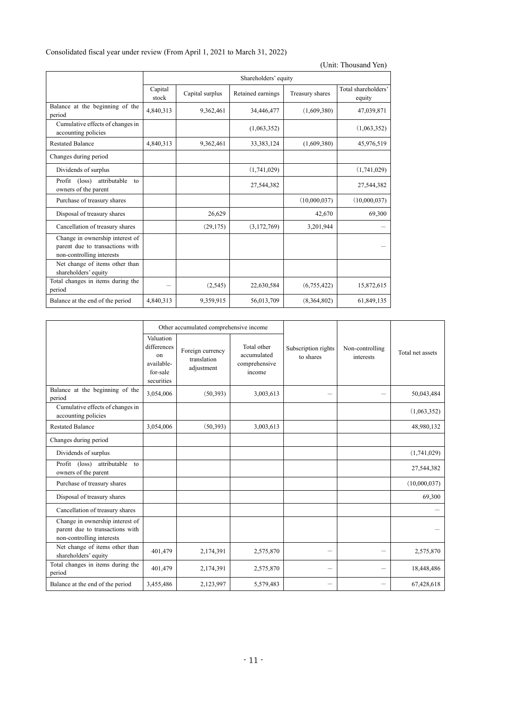| Consolidated fiscal year under review (From April 1, 2021 to March 31, 2022) |  |  |
|------------------------------------------------------------------------------|--|--|
|------------------------------------------------------------------------------|--|--|

|                                                                                                 |                  |                      |                   |                 | (Unit: Thousand Yen)          |  |
|-------------------------------------------------------------------------------------------------|------------------|----------------------|-------------------|-----------------|-------------------------------|--|
|                                                                                                 |                  | Shareholders' equity |                   |                 |                               |  |
|                                                                                                 | Capital<br>stock | Capital surplus      | Retained earnings | Treasury shares | Total shareholders'<br>equity |  |
| Balance at the beginning of the<br>period                                                       | 4,840,313        | 9,362,461            | 34,446,477        | (1,609,380)     | 47,039,871                    |  |
| Cumulative effects of changes in<br>accounting policies                                         |                  |                      | (1,063,352)       |                 | (1,063,352)                   |  |
| <b>Restated Balance</b>                                                                         | 4,840,313        | 9,362,461            | 33, 383, 124      | (1,609,380)     | 45,976,519                    |  |
| Changes during period                                                                           |                  |                      |                   |                 |                               |  |
| Dividends of surplus                                                                            |                  |                      | (1,741,029)       |                 | (1,741,029)                   |  |
| Profit (loss)<br>attributable<br>$\tau$<br>owners of the parent                                 |                  |                      | 27,544,382        |                 | 27,544,382                    |  |
| Purchase of treasury shares                                                                     |                  |                      |                   | (10,000,037)    | (10,000,037)                  |  |
| Disposal of treasury shares                                                                     |                  | 26,629               |                   | 42,670          | 69,300                        |  |
| Cancellation of treasury shares                                                                 |                  | (29, 175)            | (3,172,769)       | 3,201,944       |                               |  |
| Change in ownership interest of<br>parent due to transactions with<br>non-controlling interests |                  |                      |                   |                 |                               |  |
| Net change of items other than<br>shareholders' equity                                          |                  |                      |                   |                 |                               |  |
| Total changes in items during the<br>period                                                     |                  | (2, 545)             | 22,630,584        | (6,755,422)     | 15,872,615                    |  |
| Balance at the end of the period                                                                | 4,840,313        | 9,359,915            | 56,013,709        | (8,364,802)     | 61,849,135                    |  |

|                                                                                                 | Other accumulated comprehensive income                                 |                                               |                                                       |                                  |                              |                  |
|-------------------------------------------------------------------------------------------------|------------------------------------------------------------------------|-----------------------------------------------|-------------------------------------------------------|----------------------------------|------------------------------|------------------|
|                                                                                                 | Valuation<br>differences<br>on<br>available-<br>for-sale<br>securities | Foreign currency<br>translation<br>adjustment | Total other<br>accumulated<br>comprehensive<br>income | Subscription rights<br>to shares | Non-controlling<br>interests | Total net assets |
| Balance at the beginning of the<br>period                                                       | 3,054,006                                                              | (50,393)                                      | 3,003,613                                             |                                  |                              | 50,043,484       |
| Cumulative effects of changes in<br>accounting policies                                         |                                                                        |                                               |                                                       |                                  |                              | (1,063,352)      |
| <b>Restated Balance</b>                                                                         | 3,054,006                                                              | (50, 393)                                     | 3,003,613                                             |                                  |                              | 48,980,132       |
| Changes during period                                                                           |                                                                        |                                               |                                                       |                                  |                              |                  |
| Dividends of surplus                                                                            |                                                                        |                                               |                                                       |                                  |                              | (1,741,029)      |
| attributable to<br>Profit (loss)<br>owners of the parent                                        |                                                                        |                                               |                                                       |                                  |                              | 27,544,382       |
| Purchase of treasury shares                                                                     |                                                                        |                                               |                                                       |                                  |                              | (10,000,037)     |
| Disposal of treasury shares                                                                     |                                                                        |                                               |                                                       |                                  |                              | 69,300           |
| Cancellation of treasury shares                                                                 |                                                                        |                                               |                                                       |                                  |                              |                  |
| Change in ownership interest of<br>parent due to transactions with<br>non-controlling interests |                                                                        |                                               |                                                       |                                  |                              |                  |
| Net change of items other than<br>shareholders' equity                                          | 401,479                                                                | 2,174,391                                     | 2,575,870                                             |                                  |                              | 2,575,870        |
| Total changes in items during the<br>period                                                     | 401,479                                                                | 2,174,391                                     | 2,575,870                                             | -                                |                              | 18,448,486       |
| Balance at the end of the period                                                                | 3,455,486                                                              | 2,123,997                                     | 5,579,483                                             | -                                | -                            | 67,428,618       |

י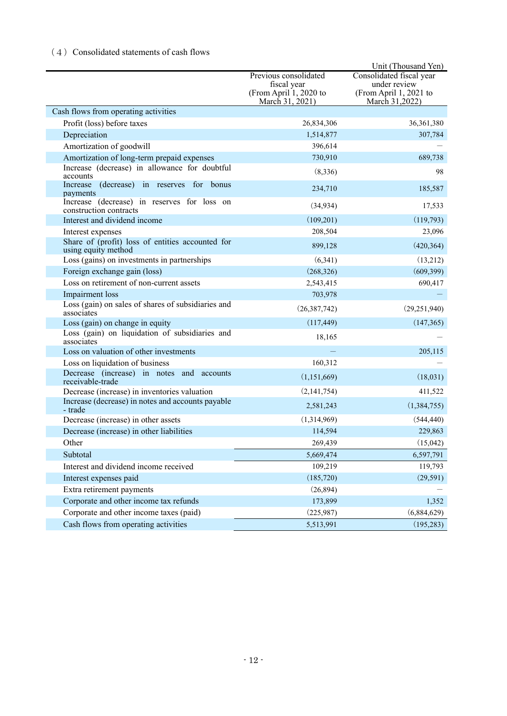## (4) Consolidated statements of cash flows

|                                                                         |                                       | Unit (Thousand Yen)                    |
|-------------------------------------------------------------------------|---------------------------------------|----------------------------------------|
|                                                                         | Previous consolidated                 | Consolidated fiscal year               |
|                                                                         | fiscal year<br>(From April 1, 2020 to | under review<br>(From April 1, 2021 to |
|                                                                         | March 31, 2021)                       | March 31,2022)                         |
| Cash flows from operating activities                                    |                                       |                                        |
| Profit (loss) before taxes                                              | 26,834,306                            | 36,361,380                             |
| Depreciation                                                            | 1,514,877                             | 307,784                                |
| Amortization of goodwill                                                | 396,614                               |                                        |
| Amortization of long-term prepaid expenses                              | 730,910                               | 689,738                                |
| Increase (decrease) in allowance for doubtful<br>accounts               | (8,336)                               | 98                                     |
| (decrease) in reserves for bonus<br>Increase<br>payments                | 234,710                               | 185,587                                |
| Increase (decrease) in reserves for loss on<br>construction contracts   | (34, 934)                             | 17,533                                 |
| Interest and dividend income                                            | (109,201)                             | (119,793)                              |
| Interest expenses                                                       | 208,504                               | 23,096                                 |
| Share of (profit) loss of entities accounted for<br>using equity method | 899,128                               | (420, 364)                             |
| Loss (gains) on investments in partnerships                             | (6,341)                               | (13,212)                               |
| Foreign exchange gain (loss)                                            | (268, 326)                            | (609, 399)                             |
| Loss on retirement of non-current assets                                | 2,543,415                             | 690,417                                |
| Impairment loss                                                         | 703,978                               |                                        |
| Loss (gain) on sales of shares of subsidiaries and<br>associates        | (26, 387, 742)                        | (29, 251, 940)                         |
| Loss (gain) on change in equity                                         | (117, 449)                            | (147, 365)                             |
| Loss (gain) on liquidation of subsidiaries and<br>associates            | 18,165                                |                                        |
| Loss on valuation of other investments                                  |                                       | 205,115                                |
| Loss on liquidation of business                                         | 160,312                               |                                        |
| Decrease (increase) in notes and accounts<br>receivable-trade           | (1,151,669)                           | (18,031)                               |
| Decrease (increase) in inventories valuation                            | (2,141,754)                           | 411,522                                |
| Increase (decrease) in notes and accounts payable<br>- trade            | 2,581,243                             | (1,384,755)                            |
| Decrease (increase) in other assets                                     | (1,314,969)                           | (544, 440)                             |
| Decrease (increase) in other liabilities                                | 114,594                               | 229,863                                |
| Other                                                                   | 269,439                               | (15,042)                               |
| Subtotal                                                                | 5,669,474                             | 6,597,791                              |
| Interest and dividend income received                                   | 109,219                               | 119,793                                |
| Interest expenses paid                                                  | (185, 720)                            | (29, 591)                              |
| Extra retirement payments                                               | (26, 894)                             |                                        |
| Corporate and other income tax refunds                                  | 173,899                               | 1,352                                  |
| Corporate and other income taxes (paid)                                 | (225,987)                             | (6,884,629)                            |
| Cash flows from operating activities                                    | 5,513,991                             | (195, 283)                             |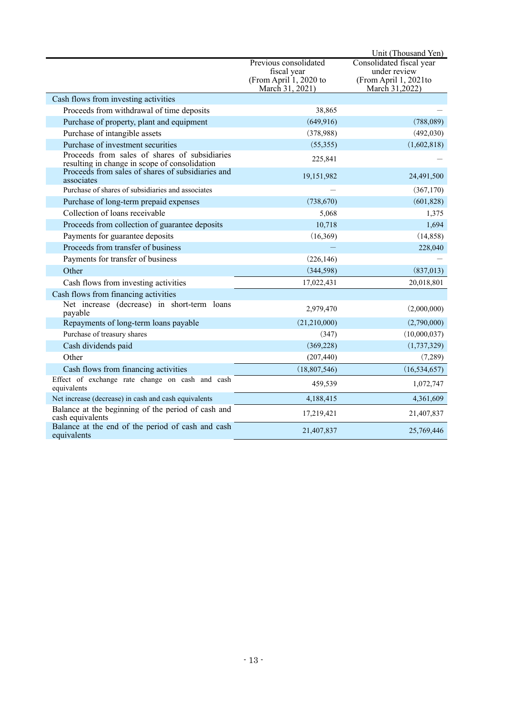|                                                                                                |                                                                                   | Unit (Thousand Yen)                                                                 |
|------------------------------------------------------------------------------------------------|-----------------------------------------------------------------------------------|-------------------------------------------------------------------------------------|
|                                                                                                | Previous consolidated<br>fiscal year<br>(From April 1, 2020 to<br>March 31, 2021) | Consolidated fiscal year<br>under review<br>(From April 1, 2021to<br>March 31,2022) |
| Cash flows from investing activities                                                           |                                                                                   |                                                                                     |
| Proceeds from withdrawal of time deposits                                                      | 38,865                                                                            |                                                                                     |
| Purchase of property, plant and equipment                                                      | (649, 916)                                                                        | (788,089)                                                                           |
| Purchase of intangible assets                                                                  | (378,988)                                                                         | (492, 030)                                                                          |
| Purchase of investment securities                                                              | (55,355)                                                                          | (1,602,818)                                                                         |
| Proceeds from sales of shares of subsidiaries<br>resulting in change in scope of consolidation | 225,841                                                                           |                                                                                     |
| Proceeds from sales of shares of subsidiaries and<br>associates                                | 19,151,982                                                                        | 24,491,500                                                                          |
| Purchase of shares of subsidiaries and associates                                              |                                                                                   | (367,170)                                                                           |
| Purchase of long-term prepaid expenses                                                         | (738, 670)                                                                        | (601, 828)                                                                          |
| Collection of loans receivable                                                                 | 5,068                                                                             | 1,375                                                                               |
| Proceeds from collection of guarantee deposits                                                 | 10,718                                                                            | 1,694                                                                               |
| Payments for guarantee deposits                                                                | (16, 369)                                                                         | (14, 858)                                                                           |
| Proceeds from transfer of business                                                             |                                                                                   | 228,040                                                                             |
| Payments for transfer of business                                                              | (226, 146)                                                                        |                                                                                     |
| Other                                                                                          | (344, 598)                                                                        | (837,013)                                                                           |
| Cash flows from investing activities                                                           | 17,022,431                                                                        | 20,018,801                                                                          |
| Cash flows from financing activities                                                           |                                                                                   |                                                                                     |
| Net increase (decrease) in short-term loans<br>payable                                         | 2,979,470                                                                         | (2,000,000)                                                                         |
| Repayments of long-term loans payable                                                          | (21,210,000)                                                                      | (2,790,000)                                                                         |
| Purchase of treasury shares                                                                    | (347)                                                                             | (10,000,037)                                                                        |
| Cash dividends paid                                                                            | (369, 228)                                                                        | (1,737,329)                                                                         |
| Other                                                                                          | (207, 440)                                                                        | (7,289)                                                                             |
| Cash flows from financing activities                                                           | (18,807,546)                                                                      | (16, 534, 657)                                                                      |
| Effect of exchange rate change on cash and cash<br>equivalents                                 | 459,539                                                                           | 1,072,747                                                                           |
| Net increase (decrease) in cash and cash equivalents                                           | 4,188,415                                                                         | 4,361,609                                                                           |
| Balance at the beginning of the period of cash and<br>cash equivalents                         | 17,219,421                                                                        | 21,407,837                                                                          |
| Balance at the end of the period of cash and cash<br>equivalents                               | 21,407,837                                                                        | 25,769,446                                                                          |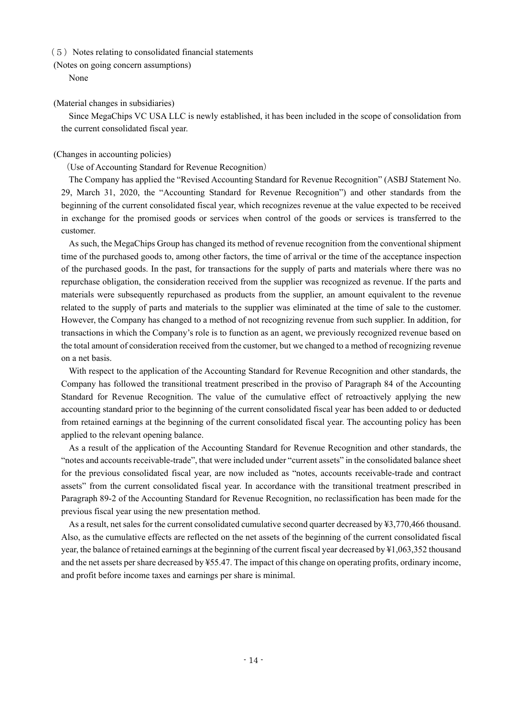#### $(5)$  Notes relating to consolidated financial statements

(Notes on going concern assumptions)

None

#### (Material changes in subsidiaries)

Since MegaChips VC USA LLC is newly established, it has been included in the scope of consolidation from the current consolidated fiscal year.

### (Changes in accounting policies)

### (Use of Accounting Standard for Revenue Recognition)

The Company has applied the "Revised Accounting Standard for Revenue Recognition" (ASBJ Statement No. 29, March 31, 2020, the "Accounting Standard for Revenue Recognition") and other standards from the beginning of the current consolidated fiscal year, which recognizes revenue at the value expected to be received in exchange for the promised goods or services when control of the goods or services is transferred to the customer.

As such, the MegaChips Group has changed its method of revenue recognition from the conventional shipment time of the purchased goods to, among other factors, the time of arrival or the time of the acceptance inspection of the purchased goods. In the past, for transactions for the supply of parts and materials where there was no repurchase obligation, the consideration received from the supplier was recognized as revenue. If the parts and materials were subsequently repurchased as products from the supplier, an amount equivalent to the revenue related to the supply of parts and materials to the supplier was eliminated at the time of sale to the customer. However, the Company has changed to a method of not recognizing revenue from such supplier. In addition, for transactions in which the Company's role is to function as an agent, we previously recognized revenue based on the total amount of consideration received from the customer, but we changed to a method of recognizing revenue on a net basis.

With respect to the application of the Accounting Standard for Revenue Recognition and other standards, the Company has followed the transitional treatment prescribed in the proviso of Paragraph 84 of the Accounting Standard for Revenue Recognition. The value of the cumulative effect of retroactively applying the new accounting standard prior to the beginning of the current consolidated fiscal year has been added to or deducted from retained earnings at the beginning of the current consolidated fiscal year. The accounting policy has been applied to the relevant opening balance.

As a result of the application of the Accounting Standard for Revenue Recognition and other standards, the "notes and accounts receivable-trade", that were included under "current assets" in the consolidated balance sheet for the previous consolidated fiscal year, are now included as "notes, accounts receivable-trade and contract assets" from the current consolidated fiscal year. In accordance with the transitional treatment prescribed in Paragraph 89-2 of the Accounting Standard for Revenue Recognition, no reclassification has been made for the previous fiscal year using the new presentation method.

As a result, net sales for the current consolidated cumulative second quarter decreased by ¥3,770,466 thousand. Also, as the cumulative effects are reflected on the net assets of the beginning of the current consolidated fiscal year, the balance of retained earnings at the beginning of the current fiscal year decreased by ¥1,063,352 thousand and the net assets per share decreased by ¥55.47. The impact of this change on operating profits, ordinary income, and profit before income taxes and earnings per share is minimal.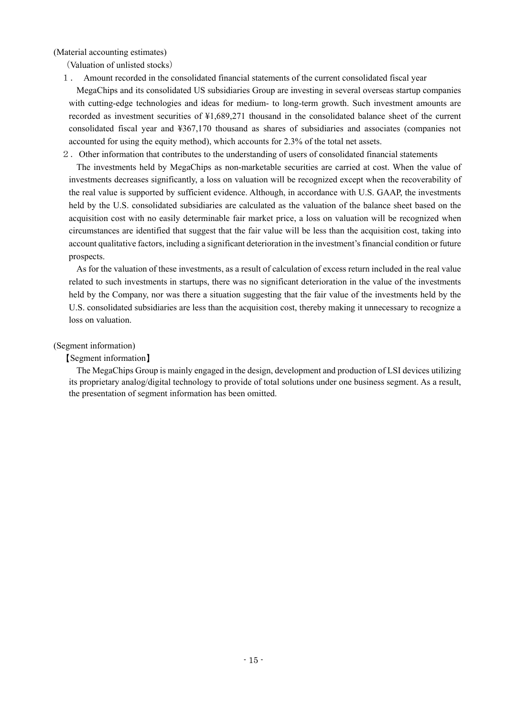(Material accounting estimates)

(Valuation of unlisted stocks)

1. Amount recorded in the consolidated financial statements of the current consolidated fiscal year

MegaChips and its consolidated US subsidiaries Group are investing in several overseas startup companies with cutting-edge technologies and ideas for medium- to long-term growth. Such investment amounts are recorded as investment securities of ¥1,689,271 thousand in the consolidated balance sheet of the current consolidated fiscal year and ¥367,170 thousand as shares of subsidiaries and associates (companies not accounted for using the equity method), which accounts for 2.3% of the total net assets.

2.Other information that contributes to the understanding of users of consolidated financial statements

The investments held by MegaChips as non-marketable securities are carried at cost. When the value of investments decreases significantly, a loss on valuation will be recognized except when the recoverability of the real value is supported by sufficient evidence. Although, in accordance with U.S. GAAP, the investments held by the U.S. consolidated subsidiaries are calculated as the valuation of the balance sheet based on the acquisition cost with no easily determinable fair market price, a loss on valuation will be recognized when circumstances are identified that suggest that the fair value will be less than the acquisition cost, taking into account qualitative factors, including a significant deterioration in the investment's financial condition or future prospects.

As for the valuation of these investments, as a result of calculation of excess return included in the real value related to such investments in startups, there was no significant deterioration in the value of the investments held by the Company, nor was there a situation suggesting that the fair value of the investments held by the U.S. consolidated subsidiaries are less than the acquisition cost, thereby making it unnecessary to recognize a loss on valuation.

### (Segment information)

### 【Segment information】

The MegaChips Group is mainly engaged in the design, development and production of LSI devices utilizing its proprietary analog/digital technology to provide of total solutions under one business segment. As a result, the presentation of segment information has been omitted.